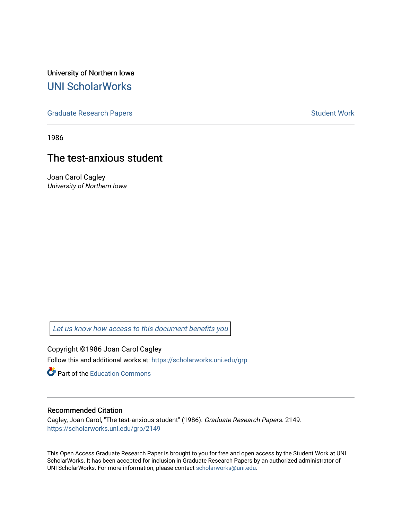University of Northern Iowa [UNI ScholarWorks](https://scholarworks.uni.edu/) 

[Graduate Research Papers](https://scholarworks.uni.edu/grp) **Student Work** Student Work

1986

# The test-anxious student

Joan Carol Cagley University of Northern Iowa

[Let us know how access to this document benefits you](https://scholarworks.uni.edu/feedback_form.html) 

Copyright ©1986 Joan Carol Cagley Follow this and additional works at: [https://scholarworks.uni.edu/grp](https://scholarworks.uni.edu/grp?utm_source=scholarworks.uni.edu%2Fgrp%2F2149&utm_medium=PDF&utm_campaign=PDFCoverPages) 

**C** Part of the [Education Commons](http://network.bepress.com/hgg/discipline/784?utm_source=scholarworks.uni.edu%2Fgrp%2F2149&utm_medium=PDF&utm_campaign=PDFCoverPages)

#### Recommended Citation

Cagley, Joan Carol, "The test-anxious student" (1986). Graduate Research Papers. 2149. [https://scholarworks.uni.edu/grp/2149](https://scholarworks.uni.edu/grp/2149?utm_source=scholarworks.uni.edu%2Fgrp%2F2149&utm_medium=PDF&utm_campaign=PDFCoverPages) 

This Open Access Graduate Research Paper is brought to you for free and open access by the Student Work at UNI ScholarWorks. It has been accepted for inclusion in Graduate Research Papers by an authorized administrator of UNI ScholarWorks. For more information, please contact [scholarworks@uni.edu.](mailto:scholarworks@uni.edu)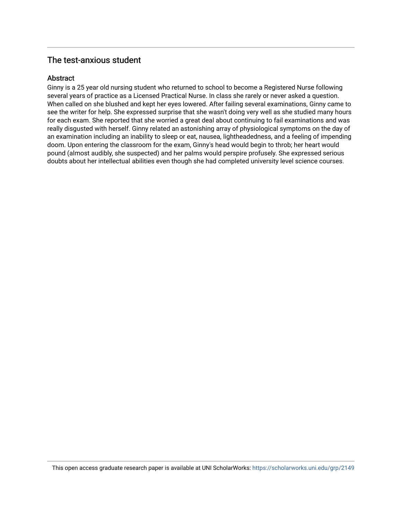## The test-anxious student

## Abstract

Ginny is a 25 year old nursing student who returned to school to become a Registered Nurse following several years of practice as a Licensed Practical Nurse. In class she rarely or never asked a question. When called on she blushed and kept her eyes lowered. After failing several examinations, Ginny came to see the writer for help. She expressed surprise that she wasn't doing very well as she studied many hours for each exam. She reported that she worried a great deal about continuing to fail examinations and was really disgusted with herself. Ginny related an astonishing array of physiological symptoms on the day of an examination including an inability to sleep or eat, nausea, lightheadedness, and a feeling of impending doom. Upon entering the classroom for the exam, Ginny's head would begin to throb; her heart would pound (almost audibly, she suspected) and her palms would perspire profusely. She expressed serious doubts about her intellectual abilities even though she had completed university level science courses.

This open access graduate research paper is available at UNI ScholarWorks: <https://scholarworks.uni.edu/grp/2149>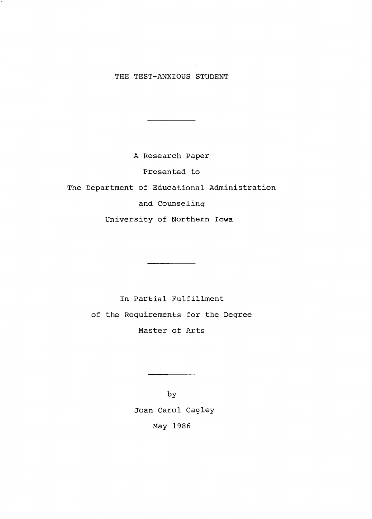## THE TEST-ANXIOUS STUDENT

A Research Paper Presented to The Department of Educational Administration and Counseling University of Northern Iowa

> In Partial Fulfillment of the Requirements for the Degree Master of Arts

by Joan Carol Cagley May 1986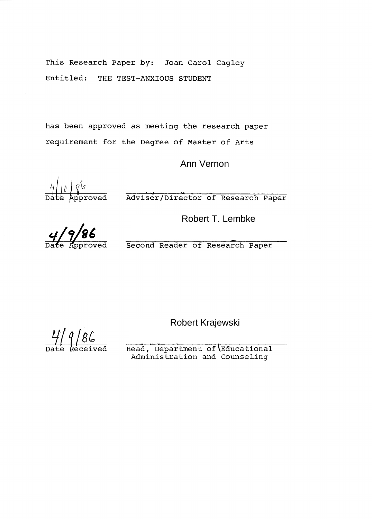This Research Paper by: Joan Carol Cagley Entitled: THE TEST-ANXIOUS STUDENT

has been approved as meeting the research paper requirement for the Degree of Master of Arts

Ann Vernon

 $\frac{4}{\pi}$  and  $\frac{4}{\pi}$  and  $\frac{4}{\pi}$  and  $\frac{4}{\pi}$  and  $\frac{4}{\pi}$  and  $\frac{4}{\pi}$  and  $\frac{4}{\pi}$  and  $\frac{4}{\pi}$  and  $\frac{4}{\pi}$  and  $\frac{4}{\pi}$  and  $\frac{4}{\pi}$  and  $\frac{4}{\pi}$  and  $\frac{4}{\pi}$  and  $\frac{4}{\pi}$  and  $\frac{4}{\pi}$ 

Robert T. Lembke

4/9/86<br>Date Approved Second Reader of Research Paper

Robert Krajewski

 $\frac{11}{2}$   $9/86$ 

Head, Department of Educational Administration and Counseling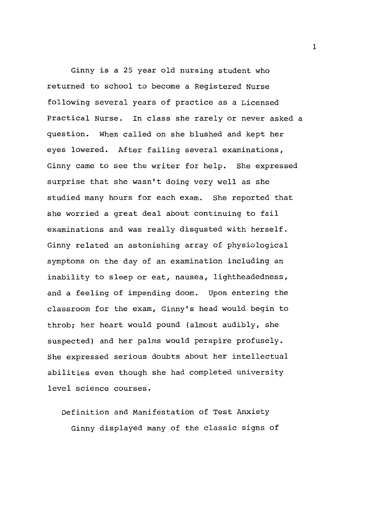Ginny is a 25 year old nursing student who returned to school to become a Registered Nurse following several years of practice as a Licensed Practical Nurse. In class she rarely or never asked a question. When called on she blushed and kept her eyes lowered. After failing several examinations, Ginny came to see the writer for help. She expressed surprise that she wasn't doing very well as she studied many hours for each exam. She reported that she worried a great deal about continuing to fail examinations and was really disgusted with herself. Ginny related an astonishing array of physiological symptoms on the day of an examination including an inability to sleep or eat, nausea, lightheadedness, and a feeling of impending doom. Upon entering the classroom for the exam, Ginny's head would begin to throb; her heart would pound (almost audibly, she suspected) and her palms would perspire profusely. She expressed serious doubts about her intellectual abilities even though she had completed university level science courses.

Definition and Manifestation of Test Anxiety Ginny displayed many of the classic signs of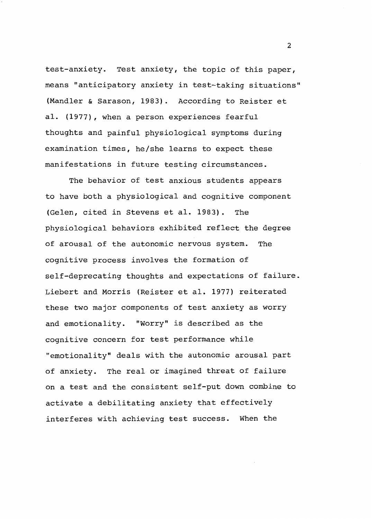test-anxiety. Test anxiety, the topic of this paper, means "anticipatory anxiety in test-taking situations" (Mandler & Sarason, 1983). According to Reister et al. (1977), when a person experiences fearful thoughts and painful physiological symptoms during examination times, he/she learns to expect these manifestations in future testing circumstances.

The behavior of test anxious students appears to have both a physiological and cognitive component (Gelen, cited in Stevens et al. 1983). The physiological behaviors exhibited reflect the degree of arousal of the autonomic nervous system. The cognitive process involves the formation of self-deprecating thoughts and expectations of failure. Liebert and Morris (Reister et al. 1977) reiterated these two major components of test anxiety as worry and emotionality. "Worry" is described as the cognitive concern for test performance while "emotionality" deals with the autonomic arousal part of anxiety. The real or imagined threat of failure on a test and the consistent self-put down combine to activate a debilitating anxiety that effectively interferes with achieving test success. When the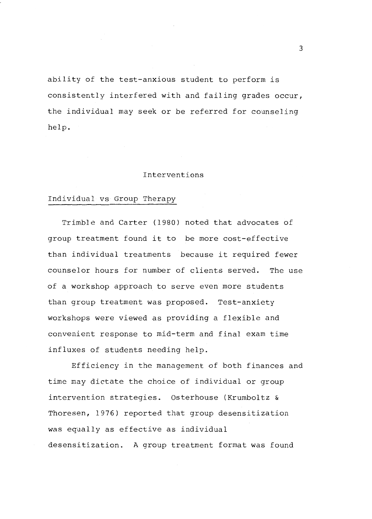ability of the test-anxious student to perform is consistently interfered with and failing grades occur, the individual may seek or be referred for counseling help.

#### Interventions

#### Individual vs Group Therapy

Trimble and Carter (1980) noted that advocates of group treatment found it to be more cost-effective than individual treatments because it required fewer counselor hours for number of clients served. The use of a workshop approach to serve even more students than group treatment was proposed. Test-anxiety workshops were viewed as providing a flexible and convenient response to mid-term and final exam time influxes of students needing help.

Efficiency in the management of both finances and time may dictate the choice of individual or group intervention strategies. Osterhouse (Krumboltz & Thoresen, 1976) reported that group desensitization was equally as effective as individual desensitization. A group treatment format was found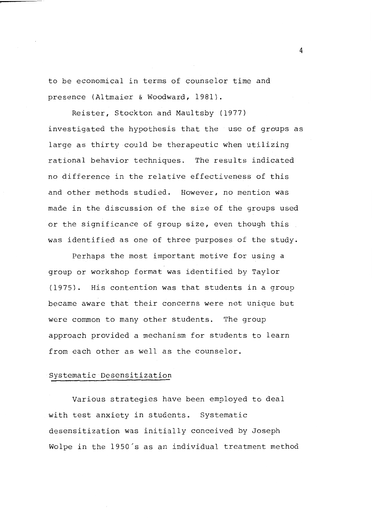to be economical in terms of counselor time and presence (Altmaier & Woodward, 1981).

Reister, Stockton and Maultsby (1977) investigated the hypothesis that the use of groups as large as thirty could be therapeutic when utilizing rational behavior techniques. The results indicated no difference in the relative effectiveness of this and other methods studied. However, no mention was made in the discussion of the size of the groups used or the significance of group size, even though this was identified as one of three purposes of the study.

Perhaps the most important motive for using a group or workshop format was identified by Taylor (1975). His contention was that students in a group became aware that their concerns were not unique but were common to many other students. The group approach provided a mechanism for students to learn from each other as well as the counselor.

### Systematic Desensitization

Various strategies have been employed to deal with test anxiety in students. Systematic desensitization was initially conceived by Joseph Wolpe in the 1950's as an individual treatment method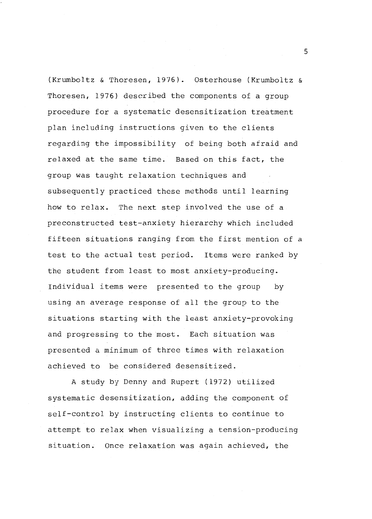(Krumboltz & Thoresen, 1976). Osterhouse (Krumboltz & Thoresen, 1976) described the components of a group procedure for a systematic desensitization treatment plan including instructions given to the clients regarding the impossibility of being both afraid and relaxed at the same time. Based on this fact, the group was taught relaxation techniques and subsequently practiced these methods until learning how to relax. The next step involved the use of a preconstructed test-anxiety hierarchy which included fifteen situations ranging from the first mention of a test to the actual test period. Items were ranked by the student from least to most anxiety-producing. Individual items were presented to the group by using an average response of all the group to the situations starting with the least anxiety-provoking and progressing to the most. Each situation was presented a minimum of three times with relaxation achieved to be considered desensitized.

A study by Denny and Rupert (1972) utilized systematic desensitization, adding the component of self-control by instructing clients to continue to attempt to relax when visualizing a tension-producing situation. Once relaxation was again achieved, the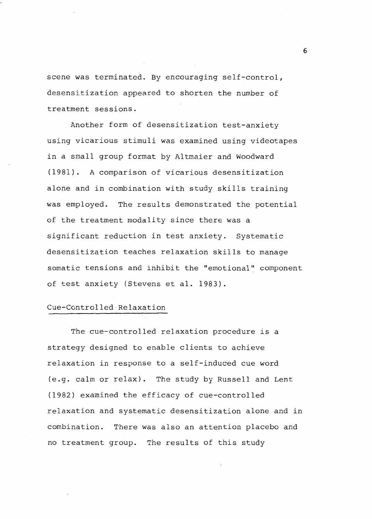scene was terminated. By encouraging self-control, desensitization appeared to shorten the number of treatment sessions.

Another form of desensitization test-anxiety using vicarious stimuli was examined using videotapes in a small group format by Altmaier and Woodward (1981). A comparison of vicarious desensitization alone and in combination with study skills training was employed. The results demonstrated the potential of the treatment modality since there was a significant reduction in test anxiety. Systematic desensitization teaches relaxation skills to manage somatic tensions and inhibit the "emotional" component of test anxiety (Stevens et al. 1983).

#### Cue-Controlled Relaxation

The cue-controlled relaxation procedure is a strategy designed to enable clients to achieve relaxation in response to a self-induced cue word (e.g. calm or relax). The study by Russell and Lent (1982) examined the efficacy of cue-controlled relaxation and systematic desensitization alone and in combination. There was also an attention placebo and no treatment group. The results of this study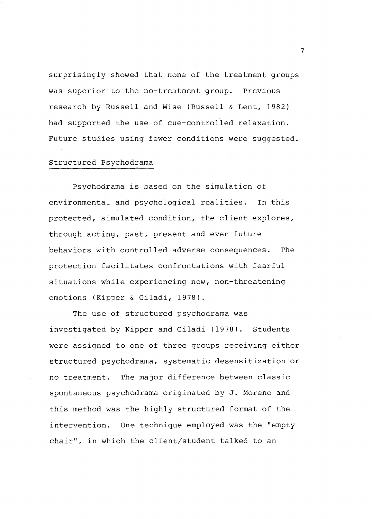surprisingly showed that none of the treatment groups was superior to the no-treatment group. Previous research by Russell and Wise (Russell & Lent, 1982) had supported the use of cue-controlled relaxation. Future studies using fewer conditions were suggested.

#### Structured Psychodrama

Psychodrama is based on the simulation of environmental and psychological realities. In this protected, simulated condition, the client explores, through acting, past, present and even future behaviors with controlled adverse consequences. The protection facilitates confrontations with fearful situations while experiencing new, non-threatening emotions (Kipper & Giladi, 1978).

The use of structured psychodrama was investigated by Kipper and Giladi (1978). Students were assigned to one of three groups receiving either structured psychodrama, systematic desensitization or no treatment. The major difference between classic spontaneous psychodrama originated by J. Moreno and this method was the highly structured format of the intervention. One technique employed was the "empty chair", in which the client/student talked to an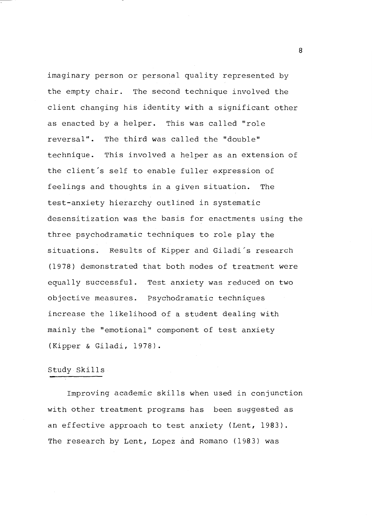imaginary person or personal quality represented by the empty chair. The second technique involved the client changing his identity with a significant other as enacted by a helper. This was called "role reversal". The third was called the "double" technique. This involved a helper as an extension of the client's self to enable fuller expression of feelings and thoughts in a given situation. The test-anxiety hierarchy outlined in systematic desensitization was the basis for enactments using the three psychodramatic techniques to role play the situations. Results of Kipper and Giladi's research (1978) demonstrated that both modes of treatment were equally successful. Test anxiety was reduced on two objective measures. Psychodramatic techniques increase the likelihood of a student dealing with mainly the "emotional" component of test anxiety (Kipper & Giladi, 1978).

#### Study Skills

Improving academic skills when used in conjunction with other treatment programs has been suggested as an effective approach to test anxiety (Lent, 1983). The research by Lent, Lopez and Romano (1983) was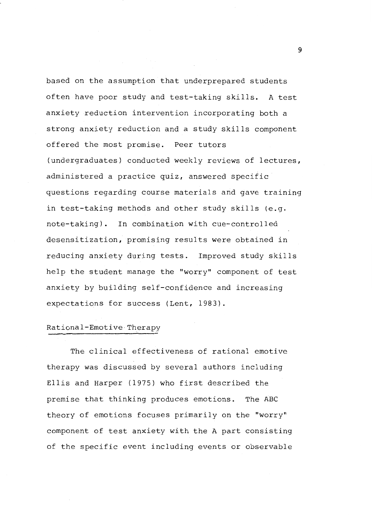based on the assumption that underprepared students often have poor study and test-taking skills. A test anxiety reduction intervention incorporating both a strong anxiety reduction and a study skills component offered the most promise. Peer tutors (undergraduates) conducted weekly reviews of lectures, administered a practice quiz, answered specific questions regarding course materials and gave training in test-taking methods and other study skills (e.g. note-taking). In combination with cue-controlled desensitization, promising results were obtained in reducing anxiety during tests. Improved study skills help the student manage the "worry" component of test anxiety by building self-confidence and increasing expectations for success (Lent, 1983).

#### Rational-Emotive Therapy

The clinical effectiveness of rational emotive therapy was discussed by several authors including Ellis and Harper (1975) who first described the premise that thinking produces emotions. The ABC theory of emotions focuses primarily on the "worry" component of test anxiety with the A part consisting of the specific event including events or observable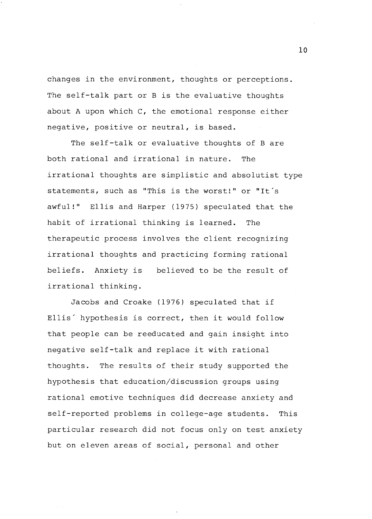changes in the environment, thoughts or perceptions. The self-talk part or B is the evaluative thoughts about A upon which C, the emotional response either negative, positive or neutral, is based.

The self-talk or evaluative thoughts of B are both rational and irrational in nature. The irrational thoughts are simplistic and absolutist type statements, such as "This is the worst!" or "It's awful!" Ellis and Harper (1975) speculated that the habit of irrational thinking is learned. The therapeutic process involves the client recognizing irrational thoughts and practicing forming rational beliefs. Anxiety is believed to be the result of irrational thinking.

Jacobs and Croake (1976) speculated that if Ellis' hypothesis is correct, then it would follow that people can be reeducated and gain insight into negative self-talk and replace it with rational thoughts. The results of their study supported the hypothesis that education/discussion groups using rational emotive techniques did decrease anxiety and self-reported problems in college-age students. This particular research did not focus only on test anxiety but on eleven areas of social, personal and other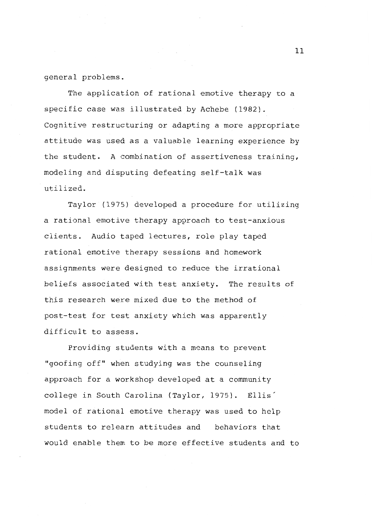general problems.

The application of rational emotive therapy to a specific case was illustrated by Achebe (1982). Cognitive restructuring or adapting a more appropriate attitude was used as a valuable learning experience by the student. A combination of assertiveness training, modeling and disputing defeating self-talk was utilized.

Taylor (1975) developed a procedure for utilizing a rational emotive therapy approach to test-anxious clients. Audio taped lectures, role play taped rational emotive therapy sessions and homework assignments were designed to reduce the irrational beliefs associated with test anxiety. The results of this research were mixed due to the method of post-test for test anxiety which was apparently difficult to assess.

Providing students with a means to prevent "goofing off" when studying was the counseling approach for a workshop developed at a community college in South Carolina (Taylor, 1975). Ellis' model of rational emotive therapy was used to help students to relearn attitudes and behaviors that would enable them to be more effective students and to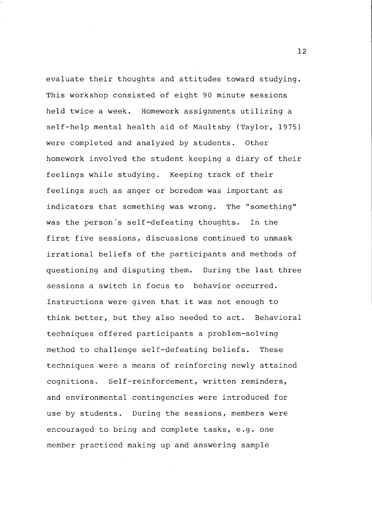evaluate their thoughts and attitudes toward studying. This workshop consisted 6f eight 90 minute sessions held twice a week. Homework assignments utilizing a self-help mental health aid of Maultsby (Taylor, 1975) were completed and analyzed by students. Other homework involved the student keeping a diary of their feelings while studying. Keeping track of their feelings such as anger or boredom was important as indicators that something was wrong. The "something" was the person's self-defeating thoughts. In the first five sessions, discussions continued to unmask irrational beliefs of the participants and methods of questioning and disputing them. During the last three sessions a switch in focus to behavior occurred. Instructions were given that it was not enough to think better, but they also needed to act. Behavioral techniques offered participants a problem-solving method to challenge self-defeating beliefs. These techniques were a means of reinforcing newly attained cognitions. Self-reinforcement, written reminders, and environmental contingencies were introduced for use by students. During the sessions, members were encouraged to bring and complete tasks, e.g. one member practiced making up and answering sample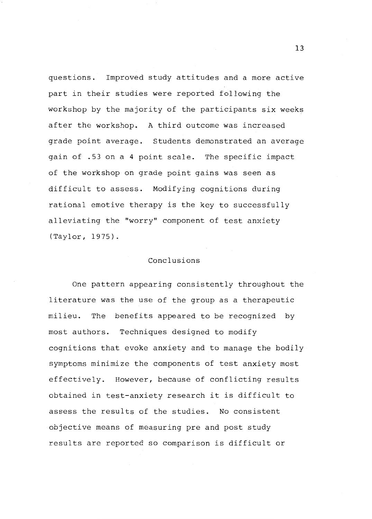questions. Improved study attitudes and a more active part in their studies were reported following the workshop by the majority of the participants six weeks after the workshop. A third outcome was increased grade point average. Students demonstrated an average gain of .53 on a 4 point scale. The specific impact of the workshop on grade point gains was seen as difficult to assess. Modifying cognitions during rational emotive therapy is the key to successfully alleviating the ''worry" component of test anxiety (Taylor, 1975).

#### Conclusions

One pattern appearing consistently throughout the literature was the use of the group as a therapeutic milieu. The benefits appeared to be recognized by most authors. Techniques designed to modify cognitions that evoke anxiety and to manage the bodily symptoms minimize the components of test anxiety most effectively. However, because of conflicting results obtained in test-anxiety research it is difficult to assess the results of the studies. No consistent objective means of measuring pre and post study results are reported so comparison is difficult or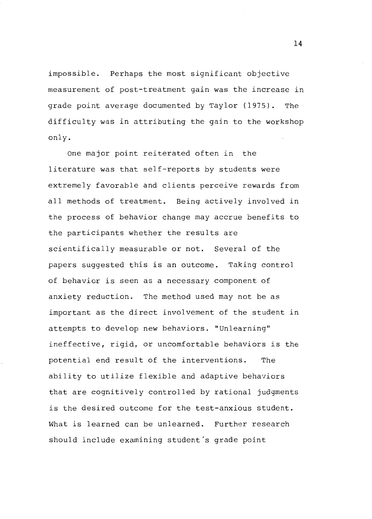impossible. Perhaps the most significant objective measurement of post-treatment gain was the increase in grade point average documented by Taylor (1975). The difficulty was in attributing the gain to the workshop only.

One major point reiterated often in the literature was that self-reports by students were extremely favorable and clients perceive rewards from all methods of treatment. Being actively involved in the process of behavior change may accrue benefits to the participants whether the results are scientifically measurable or not. Several of the papers suggested this is an outcome. Taking control of behavior is seen as a necessary component of anxiety reduction. The method used may not be as important as the direct involvement of the student in attempts to develop new behaviors. "Unlearning" ineffective, rigid, or uncomfortable behaviors is the potential end result of the interventions. The ability to utilize flexible and adaptive behaviors that are cognitively controlled by rational judgments is the desired outcome for the test-anxious student. What is learned can be unlearned. Further research should include examining student's grade point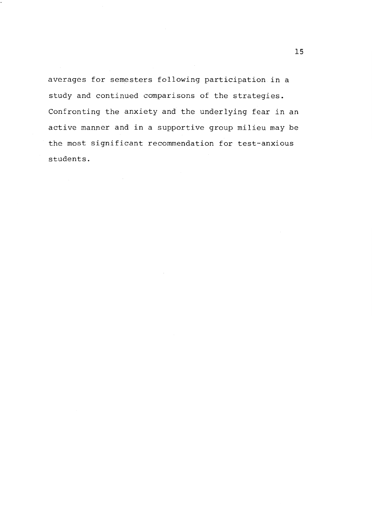averages for semesters following participation in a study and continued comparisons of the strategies. Confronting the anxiety and the underlying fear in an active manner and in a supportive group milieu may be the most significant recommendation for test-anxious students.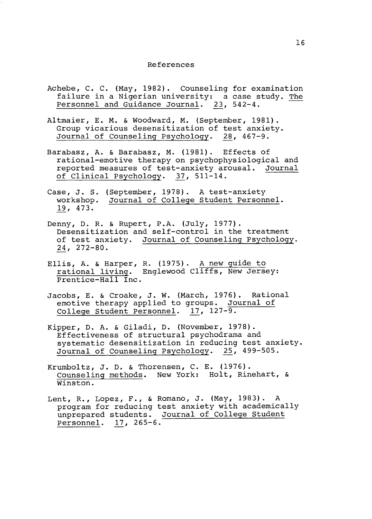#### References

- Achebe, C. C. (May, 1982). Counseling for examination failure in a Nigerian university: a case study. The Personnel and Guidance Journal. 23, 542-4.
- Altmaier, E. M. & Woodward, M. (September, 1981). Group vicarious desensitization of test anxiety. Journal of Counseling Psychology. 28, 467-9.
- Barabasz, A. & Barabasz, M. (1981). Effects of rational-emotive therapy on psychophysiological and reported measures of test-anxiety arousal. Journal of Clinical Psychology. 37, 511-14.
- Case, J. S. (September, 1978). A test-anxiety workshop. Journal of College Student Personnel. .!2., 473.
- Denny, D. R. & Rupert, P.A. (July, 1977). Desensitization and self-control in the treatment of test anxiety. Journal of Counseling Psychology. 24, 272-80.
- Ellis, A. & Harper, R. (1975). A new guide to rational living. Englewood Cliffs, New Jersey: Prentice-Hall Inc.
- Jacobs, E. & Croake, J. W. (March, 1976). Rational emotive therapy applied to groups. Journal of College Student Personnel.  $17, 127-\overline{9}.$
- Kipper, D. A. & Giladi, D. (November, 1978). Effectiveness of structural psychodrama and systematic desensitization in reducing test anxiety. Journal of Counseling Psychology. 25, 499-505.
- Krumboltz, J. D. & Thorensen, C. E. (1976). Counseling methods. New York: Holt, Rinehart, & Winston.
- Lent, R., Lopez, F., & Romano, J. (May, 1983). A program for reducing test anxiety with academically unprepared students. Journal of College Student Personnel. 17, 265-6.